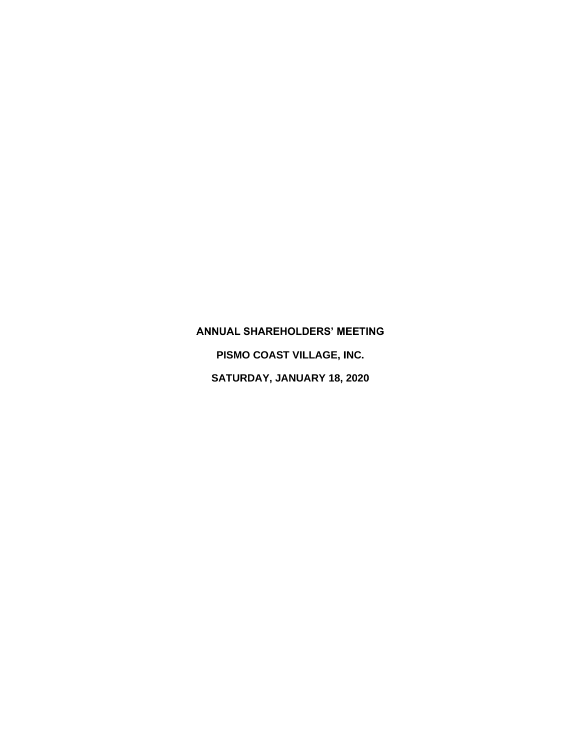## **ANNUAL SHAREHOLDERS' MEETING**

**PISMO COAST VILLAGE, INC. SATURDAY, JANUARY 18, 2020**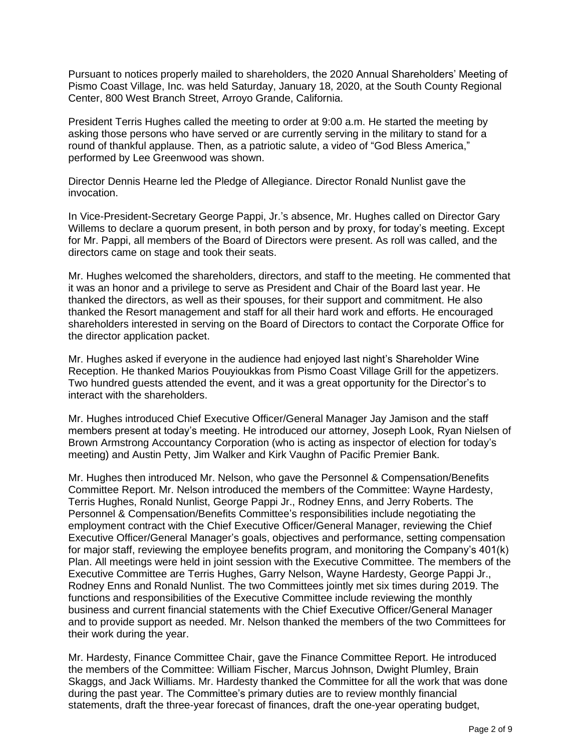Pursuant to notices properly mailed to shareholders, the 2020 Annual Shareholders' Meeting of Pismo Coast Village, Inc. was held Saturday, January 18, 2020, at the South County Regional Center, 800 West Branch Street, Arroyo Grande, California.

President Terris Hughes called the meeting to order at 9:00 a.m. He started the meeting by asking those persons who have served or are currently serving in the military to stand for a round of thankful applause. Then, as a patriotic salute, a video of "God Bless America," performed by Lee Greenwood was shown.

Director Dennis Hearne led the Pledge of Allegiance. Director Ronald Nunlist gave the invocation.

In Vice-President-Secretary George Pappi, Jr.'s absence, Mr. Hughes called on Director Gary Willems to declare a quorum present, in both person and by proxy, for today's meeting. Except for Mr. Pappi, all members of the Board of Directors were present. As roll was called, and the directors came on stage and took their seats.

Mr. Hughes welcomed the shareholders, directors, and staff to the meeting. He commented that it was an honor and a privilege to serve as President and Chair of the Board last year. He thanked the directors, as well as their spouses, for their support and commitment. He also thanked the Resort management and staff for all their hard work and efforts. He encouraged shareholders interested in serving on the Board of Directors to contact the Corporate Office for the director application packet.

Mr. Hughes asked if everyone in the audience had enjoyed last night's Shareholder Wine Reception. He thanked Marios Pouyioukkas from Pismo Coast Village Grill for the appetizers. Two hundred guests attended the event, and it was a great opportunity for the Director's to interact with the shareholders.

Mr. Hughes introduced Chief Executive Officer/General Manager Jay Jamison and the staff members present at today's meeting. He introduced our attorney, Joseph Look, Ryan Nielsen of Brown Armstrong Accountancy Corporation (who is acting as inspector of election for today's meeting) and Austin Petty, Jim Walker and Kirk Vaughn of Pacific Premier Bank.

Mr. Hughes then introduced Mr. Nelson, who gave the Personnel & Compensation/Benefits Committee Report. Mr. Nelson introduced the members of the Committee: Wayne Hardesty, Terris Hughes, Ronald Nunlist, George Pappi Jr., Rodney Enns, and Jerry Roberts. The Personnel & Compensation/Benefits Committee's responsibilities include negotiating the employment contract with the Chief Executive Officer/General Manager, reviewing the Chief Executive Officer/General Manager's goals, objectives and performance, setting compensation for major staff, reviewing the employee benefits program, and monitoring the Company's 401(k) Plan. All meetings were held in joint session with the Executive Committee. The members of the Executive Committee are Terris Hughes, Garry Nelson, Wayne Hardesty, George Pappi Jr., Rodney Enns and Ronald Nunlist. The two Committees jointly met six times during 2019. The functions and responsibilities of the Executive Committee include reviewing the monthly business and current financial statements with the Chief Executive Officer/General Manager and to provide support as needed. Mr. Nelson thanked the members of the two Committees for their work during the year.

Mr. Hardesty, Finance Committee Chair, gave the Finance Committee Report. He introduced the members of the Committee: William Fischer, Marcus Johnson, Dwight Plumley, Brain Skaggs, and Jack Williams. Mr. Hardesty thanked the Committee for all the work that was done during the past year. The Committee's primary duties are to review monthly financial statements, draft the three-year forecast of finances, draft the one-year operating budget,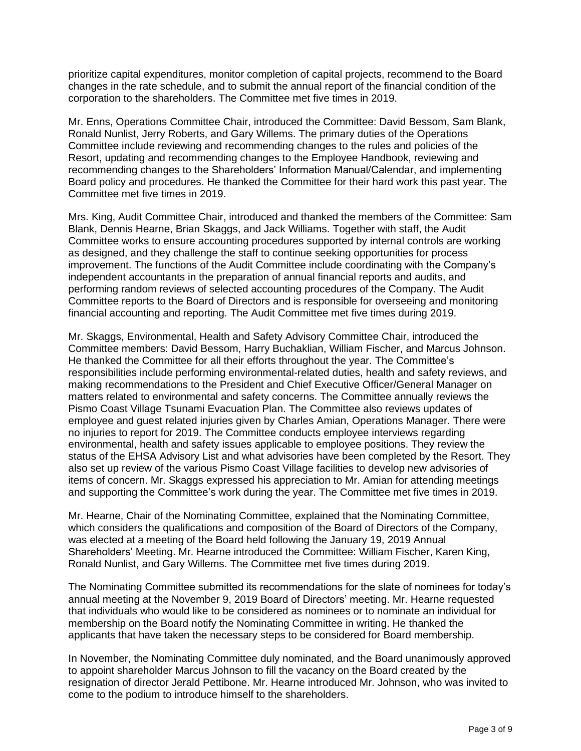prioritize capital expenditures, monitor completion of capital projects, recommend to the Board changes in the rate schedule, and to submit the annual report of the financial condition of the corporation to the shareholders. The Committee met five times in 2019.

Mr. Enns, Operations Committee Chair, introduced the Committee: David Bessom, Sam Blank, Ronald Nunlist, Jerry Roberts, and Gary Willems. The primary duties of the Operations Committee include reviewing and recommending changes to the rules and policies of the Resort, updating and recommending changes to the Employee Handbook, reviewing and recommending changes to the Shareholders' Information Manual/Calendar, and implementing Board policy and procedures. He thanked the Committee for their hard work this past year. The Committee met five times in 2019.

Mrs. King, Audit Committee Chair, introduced and thanked the members of the Committee: Sam Blank, Dennis Hearne, Brian Skaggs, and Jack Williams. Together with staff, the Audit Committee works to ensure accounting procedures supported by internal controls are working as designed, and they challenge the staff to continue seeking opportunities for process improvement. The functions of the Audit Committee include coordinating with the Company's independent accountants in the preparation of annual financial reports and audits, and performing random reviews of selected accounting procedures of the Company. The Audit Committee reports to the Board of Directors and is responsible for overseeing and monitoring financial accounting and reporting. The Audit Committee met five times during 2019.

Mr. Skaggs, Environmental, Health and Safety Advisory Committee Chair, introduced the Committee members: David Bessom, Harry Buchaklian, William Fischer, and Marcus Johnson. He thanked the Committee for all their efforts throughout the year. The Committee's responsibilities include performing environmental-related duties, health and safety reviews, and making recommendations to the President and Chief Executive Officer/General Manager on matters related to environmental and safety concerns. The Committee annually reviews the Pismo Coast Village Tsunami Evacuation Plan. The Committee also reviews updates of employee and guest related injuries given by Charles Amian, Operations Manager. There were no injuries to report for 2019. The Committee conducts employee interviews regarding environmental, health and safety issues applicable to employee positions. They review the status of the EHSA Advisory List and what advisories have been completed by the Resort. They also set up review of the various Pismo Coast Village facilities to develop new advisories of items of concern. Mr. Skaggs expressed his appreciation to Mr. Amian for attending meetings and supporting the Committee's work during the year. The Committee met five times in 2019.

Mr. Hearne, Chair of the Nominating Committee, explained that the Nominating Committee, which considers the qualifications and composition of the Board of Directors of the Company, was elected at a meeting of the Board held following the January 19, 2019 Annual Shareholders' Meeting. Mr. Hearne introduced the Committee: William Fischer, Karen King, Ronald Nunlist, and Gary Willems. The Committee met five times during 2019.

The Nominating Committee submitted its recommendations for the slate of nominees for today's annual meeting at the November 9, 2019 Board of Directors' meeting. Mr. Hearne requested that individuals who would like to be considered as nominees or to nominate an individual for membership on the Board notify the Nominating Committee in writing. He thanked the applicants that have taken the necessary steps to be considered for Board membership.

In November, the Nominating Committee duly nominated, and the Board unanimously approved to appoint shareholder Marcus Johnson to fill the vacancy on the Board created by the resignation of director Jerald Pettibone. Mr. Hearne introduced Mr. Johnson, who was invited to come to the podium to introduce himself to the shareholders.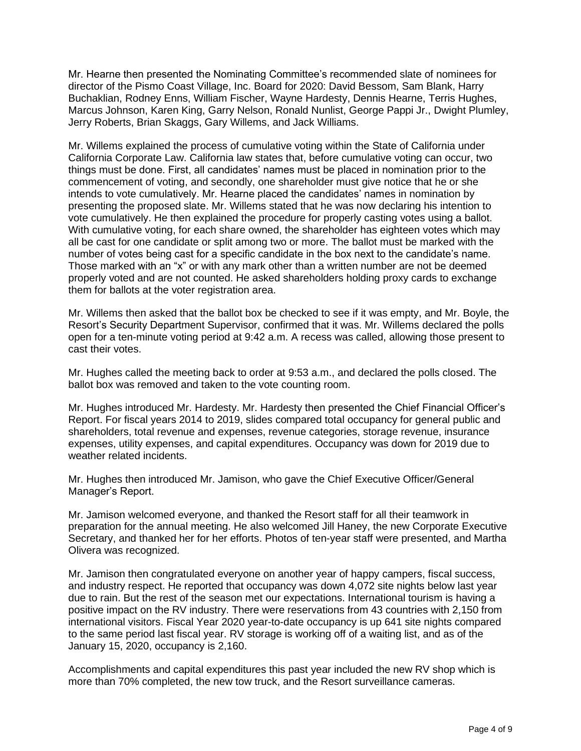Mr. Hearne then presented the Nominating Committee's recommended slate of nominees for director of the Pismo Coast Village, Inc. Board for 2020: David Bessom, Sam Blank, Harry Buchaklian, Rodney Enns, William Fischer, Wayne Hardesty, Dennis Hearne, Terris Hughes, Marcus Johnson, Karen King, Garry Nelson, Ronald Nunlist, George Pappi Jr., Dwight Plumley, Jerry Roberts, Brian Skaggs, Gary Willems, and Jack Williams.

Mr. Willems explained the process of cumulative voting within the State of California under California Corporate Law. California law states that, before cumulative voting can occur, two things must be done. First, all candidates' names must be placed in nomination prior to the commencement of voting, and secondly, one shareholder must give notice that he or she intends to vote cumulatively. Mr. Hearne placed the candidates' names in nomination by presenting the proposed slate. Mr. Willems stated that he was now declaring his intention to vote cumulatively. He then explained the procedure for properly casting votes using a ballot. With cumulative voting, for each share owned, the shareholder has eighteen votes which may all be cast for one candidate or split among two or more. The ballot must be marked with the number of votes being cast for a specific candidate in the box next to the candidate's name. Those marked with an "x" or with any mark other than a written number are not be deemed properly voted and are not counted. He asked shareholders holding proxy cards to exchange them for ballots at the voter registration area.

Mr. Willems then asked that the ballot box be checked to see if it was empty, and Mr. Boyle, the Resort's Security Department Supervisor, confirmed that it was. Mr. Willems declared the polls open for a ten-minute voting period at 9:42 a.m. A recess was called, allowing those present to cast their votes.

Mr. Hughes called the meeting back to order at 9:53 a.m., and declared the polls closed. The ballot box was removed and taken to the vote counting room.

Mr. Hughes introduced Mr. Hardesty. Mr. Hardesty then presented the Chief Financial Officer's Report. For fiscal years 2014 to 2019, slides compared total occupancy for general public and shareholders, total revenue and expenses, revenue categories, storage revenue, insurance expenses, utility expenses, and capital expenditures. Occupancy was down for 2019 due to weather related incidents.

Mr. Hughes then introduced Mr. Jamison, who gave the Chief Executive Officer/General Manager's Report.

Mr. Jamison welcomed everyone, and thanked the Resort staff for all their teamwork in preparation for the annual meeting. He also welcomed Jill Haney, the new Corporate Executive Secretary, and thanked her for her efforts. Photos of ten-year staff were presented, and Martha Olivera was recognized.

Mr. Jamison then congratulated everyone on another year of happy campers, fiscal success, and industry respect. He reported that occupancy was down 4,072 site nights below last year due to rain. But the rest of the season met our expectations. International tourism is having a positive impact on the RV industry. There were reservations from 43 countries with 2,150 from international visitors. Fiscal Year 2020 year-to-date occupancy is up 641 site nights compared to the same period last fiscal year. RV storage is working off of a waiting list, and as of the January 15, 2020, occupancy is 2,160.

Accomplishments and capital expenditures this past year included the new RV shop which is more than 70% completed, the new tow truck, and the Resort surveillance cameras.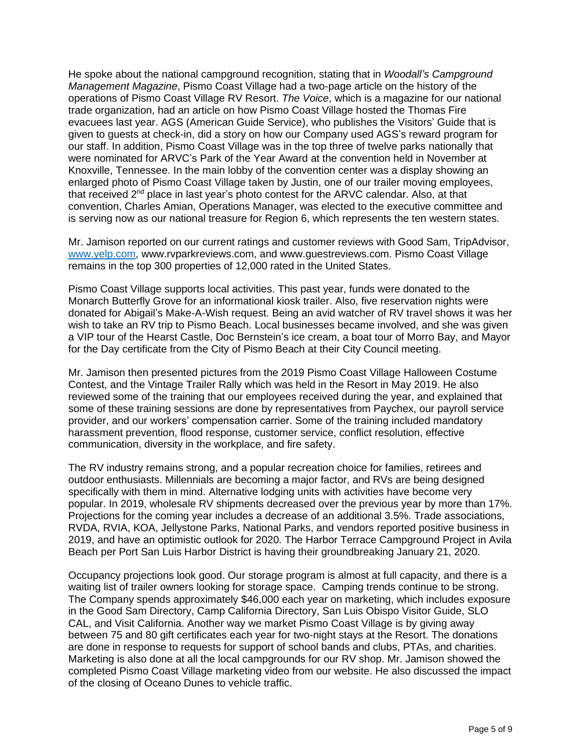He spoke about the national campground recognition, stating that in *Woodall's Campground Management Magazine*, Pismo Coast Village had a two-page article on the history of the operations of Pismo Coast Village RV Resort. *The Voice*, which is a magazine for our national trade organization, had an article on how Pismo Coast Village hosted the Thomas Fire evacuees last year. AGS (American Guide Service), who publishes the Visitors' Guide that is given to guests at check-in, did a story on how our Company used AGS's reward program for our staff. In addition, Pismo Coast Village was in the top three of twelve parks nationally that were nominated for ARVC's Park of the Year Award at the convention held in November at Knoxville, Tennessee. In the main lobby of the convention center was a display showing an enlarged photo of Pismo Coast Village taken by Justin, one of our trailer moving employees, that received 2<sup>nd</sup> place in last year's photo contest for the ARVC calendar. Also, at that convention, Charles Amian, Operations Manager, was elected to the executive committee and is serving now as our national treasure for Region 6, which represents the ten western states.

Mr. Jamison reported on our current ratings and customer reviews with Good Sam, TripAdvisor, [www.yelp.com,](http://www.yelp.com/) www.rvparkreviews.com, and www.guestreviews.com. Pismo Coast Village remains in the top 300 properties of 12,000 rated in the United States.

Pismo Coast Village supports local activities. This past year, funds were donated to the Monarch Butterfly Grove for an informational kiosk trailer. Also, five reservation nights were donated for Abigail's Make-A-Wish request. Being an avid watcher of RV travel shows it was her wish to take an RV trip to Pismo Beach. Local businesses became involved, and she was given a VIP tour of the Hearst Castle, Doc Bernstein's ice cream, a boat tour of Morro Bay, and Mayor for the Day certificate from the City of Pismo Beach at their City Council meeting.

Mr. Jamison then presented pictures from the 2019 Pismo Coast Village Halloween Costume Contest, and the Vintage Trailer Rally which was held in the Resort in May 2019. He also reviewed some of the training that our employees received during the year, and explained that some of these training sessions are done by representatives from Paychex, our payroll service provider, and our workers' compensation carrier. Some of the training included mandatory harassment prevention, flood response, customer service, conflict resolution, effective communication, diversity in the workplace, and fire safety.

The RV industry remains strong, and a popular recreation choice for families, retirees and outdoor enthusiasts. Millennials are becoming a major factor, and RVs are being designed specifically with them in mind. Alternative lodging units with activities have become very popular. In 2019, wholesale RV shipments decreased over the previous year by more than 17%. Projections for the coming year includes a decrease of an additional 3.5%. Trade associations, RVDA, RVIA, KOA, Jellystone Parks, National Parks, and vendors reported positive business in 2019, and have an optimistic outlook for 2020. The Harbor Terrace Campground Project in Avila Beach per Port San Luis Harbor District is having their groundbreaking January 21, 2020.

Occupancy projections look good. Our storage program is almost at full capacity, and there is a waiting list of trailer owners looking for storage space. Camping trends continue to be strong. The Company spends approximately \$46,000 each year on marketing, which includes exposure in the Good Sam Directory, Camp California Directory, San Luis Obispo Visitor Guide, SLO CAL, and Visit California. Another way we market Pismo Coast Village is by giving away between 75 and 80 gift certificates each year for two-night stays at the Resort. The donations are done in response to requests for support of school bands and clubs, PTAs, and charities. Marketing is also done at all the local campgrounds for our RV shop. Mr. Jamison showed the completed Pismo Coast Village marketing video from our website. He also discussed the impact of the closing of Oceano Dunes to vehicle traffic.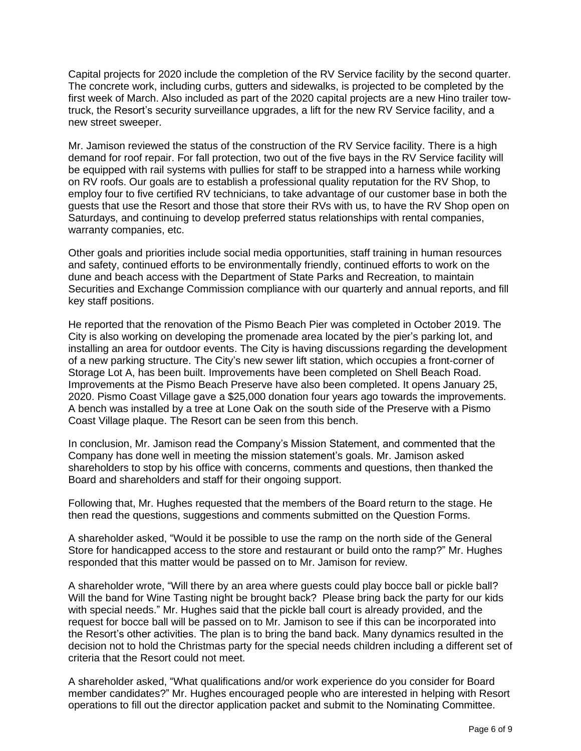Capital projects for 2020 include the completion of the RV Service facility by the second quarter. The concrete work, including curbs, gutters and sidewalks, is projected to be completed by the first week of March. Also included as part of the 2020 capital projects are a new Hino trailer towtruck, the Resort's security surveillance upgrades, a lift for the new RV Service facility, and a new street sweeper.

Mr. Jamison reviewed the status of the construction of the RV Service facility. There is a high demand for roof repair. For fall protection, two out of the five bays in the RV Service facility will be equipped with rail systems with pullies for staff to be strapped into a harness while working on RV roofs. Our goals are to establish a professional quality reputation for the RV Shop, to employ four to five certified RV technicians, to take advantage of our customer base in both the guests that use the Resort and those that store their RVs with us, to have the RV Shop open on Saturdays, and continuing to develop preferred status relationships with rental companies, warranty companies, etc.

Other goals and priorities include social media opportunities, staff training in human resources and safety, continued efforts to be environmentally friendly, continued efforts to work on the dune and beach access with the Department of State Parks and Recreation, to maintain Securities and Exchange Commission compliance with our quarterly and annual reports, and fill key staff positions.

He reported that the renovation of the Pismo Beach Pier was completed in October 2019. The City is also working on developing the promenade area located by the pier's parking lot, and installing an area for outdoor events. The City is having discussions regarding the development of a new parking structure. The City's new sewer lift station, which occupies a front-corner of Storage Lot A, has been built. Improvements have been completed on Shell Beach Road. Improvements at the Pismo Beach Preserve have also been completed. It opens January 25, 2020. Pismo Coast Village gave a \$25,000 donation four years ago towards the improvements. A bench was installed by a tree at Lone Oak on the south side of the Preserve with a Pismo Coast Village plaque. The Resort can be seen from this bench.

In conclusion, Mr. Jamison read the Company's Mission Statement, and commented that the Company has done well in meeting the mission statement's goals. Mr. Jamison asked shareholders to stop by his office with concerns, comments and questions, then thanked the Board and shareholders and staff for their ongoing support.

Following that, Mr. Hughes requested that the members of the Board return to the stage. He then read the questions, suggestions and comments submitted on the Question Forms.

A shareholder asked, "Would it be possible to use the ramp on the north side of the General Store for handicapped access to the store and restaurant or build onto the ramp?" Mr. Hughes responded that this matter would be passed on to Mr. Jamison for review.

A shareholder wrote, "Will there by an area where guests could play bocce ball or pickle ball? Will the band for Wine Tasting night be brought back? Please bring back the party for our kids with special needs." Mr. Hughes said that the pickle ball court is already provided, and the request for bocce ball will be passed on to Mr. Jamison to see if this can be incorporated into the Resort's other activities. The plan is to bring the band back. Many dynamics resulted in the decision not to hold the Christmas party for the special needs children including a different set of criteria that the Resort could not meet.

A shareholder asked, "What qualifications and/or work experience do you consider for Board member candidates?" Mr. Hughes encouraged people who are interested in helping with Resort operations to fill out the director application packet and submit to the Nominating Committee.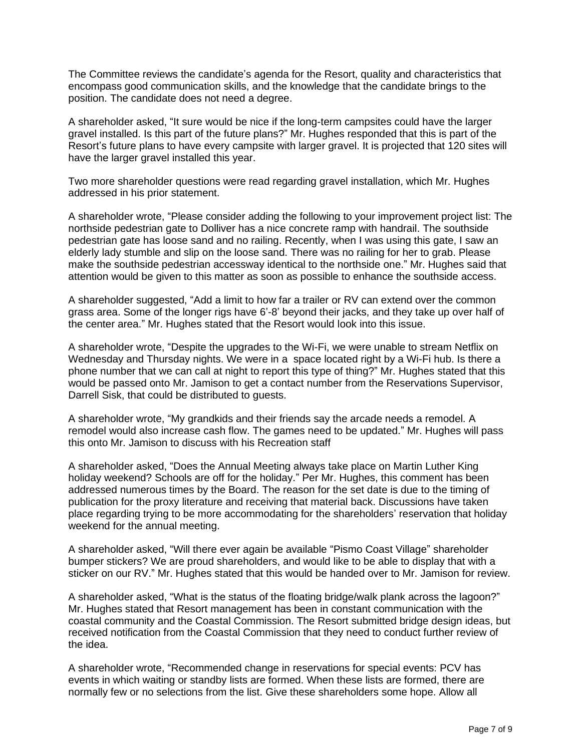The Committee reviews the candidate's agenda for the Resort, quality and characteristics that encompass good communication skills, and the knowledge that the candidate brings to the position. The candidate does not need a degree.

A shareholder asked, "It sure would be nice if the long-term campsites could have the larger gravel installed. Is this part of the future plans?" Mr. Hughes responded that this is part of the Resort's future plans to have every campsite with larger gravel. It is projected that 120 sites will have the larger gravel installed this year.

Two more shareholder questions were read regarding gravel installation, which Mr. Hughes addressed in his prior statement.

A shareholder wrote, "Please consider adding the following to your improvement project list: The northside pedestrian gate to Dolliver has a nice concrete ramp with handrail. The southside pedestrian gate has loose sand and no railing. Recently, when I was using this gate, I saw an elderly lady stumble and slip on the loose sand. There was no railing for her to grab. Please make the southside pedestrian accessway identical to the northside one." Mr. Hughes said that attention would be given to this matter as soon as possible to enhance the southside access.

A shareholder suggested, "Add a limit to how far a trailer or RV can extend over the common grass area. Some of the longer rigs have 6'-8' beyond their jacks, and they take up over half of the center area." Mr. Hughes stated that the Resort would look into this issue.

A shareholder wrote, "Despite the upgrades to the Wi-Fi, we were unable to stream Netflix on Wednesday and Thursday nights. We were in a space located right by a Wi-Fi hub. Is there a phone number that we can call at night to report this type of thing?" Mr. Hughes stated that this would be passed onto Mr. Jamison to get a contact number from the Reservations Supervisor, Darrell Sisk, that could be distributed to guests.

A shareholder wrote, "My grandkids and their friends say the arcade needs a remodel. A remodel would also increase cash flow. The games need to be updated." Mr. Hughes will pass this onto Mr. Jamison to discuss with his Recreation staff

A shareholder asked, "Does the Annual Meeting always take place on Martin Luther King holiday weekend? Schools are off for the holiday." Per Mr. Hughes, this comment has been addressed numerous times by the Board. The reason for the set date is due to the timing of publication for the proxy literature and receiving that material back. Discussions have taken place regarding trying to be more accommodating for the shareholders' reservation that holiday weekend for the annual meeting.

A shareholder asked, "Will there ever again be available "Pismo Coast Village" shareholder bumper stickers? We are proud shareholders, and would like to be able to display that with a sticker on our RV." Mr. Hughes stated that this would be handed over to Mr. Jamison for review.

A shareholder asked, "What is the status of the floating bridge/walk plank across the lagoon?" Mr. Hughes stated that Resort management has been in constant communication with the coastal community and the Coastal Commission. The Resort submitted bridge design ideas, but received notification from the Coastal Commission that they need to conduct further review of the idea.

A shareholder wrote, "Recommended change in reservations for special events: PCV has events in which waiting or standby lists are formed. When these lists are formed, there are normally few or no selections from the list. Give these shareholders some hope. Allow all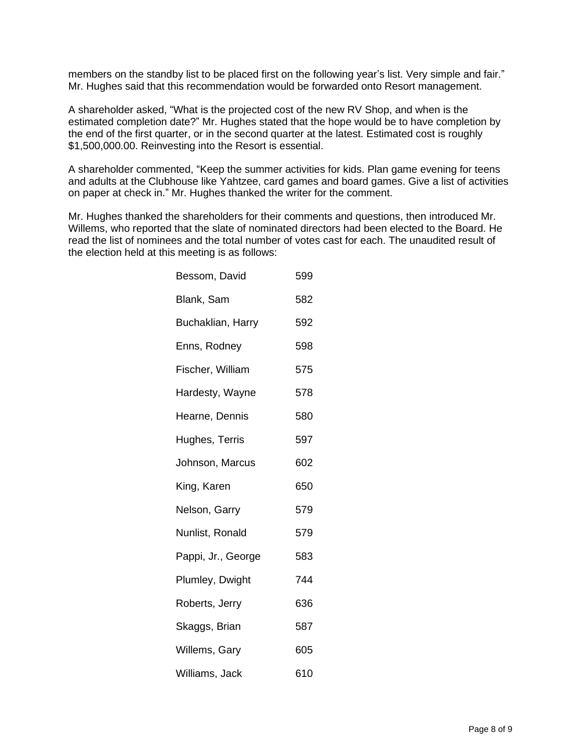members on the standby list to be placed first on the following year's list. Very simple and fair." Mr. Hughes said that this recommendation would be forwarded onto Resort management.

A shareholder asked, "What is the projected cost of the new RV Shop, and when is the estimated completion date?" Mr. Hughes stated that the hope would be to have completion by the end of the first quarter, or in the second quarter at the latest. Estimated cost is roughly \$1,500,000.00. Reinvesting into the Resort is essential.

A shareholder commented, "Keep the summer activities for kids. Plan game evening for teens and adults at the Clubhouse like Yahtzee, card games and board games. Give a list of activities on paper at check in." Mr. Hughes thanked the writer for the comment.

Mr. Hughes thanked the shareholders for their comments and questions, then introduced Mr. Willems, who reported that the slate of nominated directors had been elected to the Board. He read the list of nominees and the total number of votes cast for each. The unaudited result of the election held at this meeting is as follows:

| Bessom, David      | 599 |
|--------------------|-----|
| Blank, Sam         | 582 |
| Buchaklian, Harry  | 592 |
| Enns, Rodney       | 598 |
| Fischer, William   | 575 |
| Hardesty, Wayne    | 578 |
| Hearne, Dennis     | 580 |
| Hughes, Terris     | 597 |
| Johnson, Marcus    | 602 |
| King, Karen        | 650 |
| Nelson, Garry      | 579 |
| Nunlist, Ronald    | 579 |
| Pappi, Jr., George | 583 |
| Plumley, Dwight    | 744 |
| Roberts, Jerry     | 636 |
| Skaggs, Brian      | 587 |
| Willems, Gary      | 605 |
| Williams, Jack     | 610 |